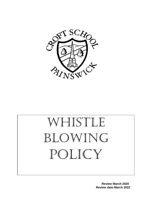

# WHISTLE BLOWING POLICY

 **Review March 2020 Review date March 2022**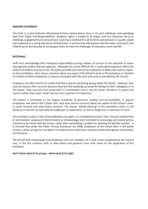#### **MISSION STATEMENT**

The Croft is a Local Authority Maintained Primary School whose focus is on each individual, acknowledging both their Rights and Responsibilities. Academic rigour is valued at all stages, with the classroom focus on challenge, engagement and achievement. Learning is celebrated in all its forms and everyone is equally valued and respected in a caring and secure environment. In partnership with parents and the wider community, the children grow and develop as we prepare them to meet the challenges of education, work and life.

#### **RATIONALE**

Staff must acknowledge their individual responsibility to bring matters of concern to the attention of senior management and/or relevant agencies. Although this can be difficult this is particularly important where the welfare of children may be at risk. This policy provides procedures for employees to follow who wish to report, in strict confidence, their serious concerns about any aspect of the School's work or the behaviour or standard of conduct of other employees or anyone associated with the work and services provided by the Council.

Employees are often the first to realise that there may be something wrong within the School. However, they may not express their concerns because they feel that speaking up would be disloyal to their colleagues or to the School. They may also fear harassment or victimisation and it may be easier, therefore, to ignore the concern rather than report what may just be a suspicion of malpractice.

The School is committed to the highest standards of openness, probity and accountability. It expects employees, and others that it deals with, who have serious concerns about any aspect of the School's work, to come forward and voice those concerns. The phrase 'whistle-blowing' in this procedure refers to the disclosure internally or externally by employees of malpractice, as well as illegal acts or omissions at work.

This Procedure makes it clear that employees can report, in a confidential manner, their concerns without fear of victimisation, subsequent discrimination or disadvantage and is intended to encourage and enable serious concerns to be raised with the School, rather than overlooking a problem or 'blowing the whistle' outside. It is stressed that under the Public Interest Disclosure Act 1998, employees of the School who, in the public interest, speak out against corruption or malpractice at work have statutory protection against victimisation and dismissal.

The School fully understands that employees who are members of a trade union recognised by the Council may, in the first instance, wish to seek advice and guidance from their union on the application of this Procedure.

#### *Don't think what if I'm wrong – think what if I'm right*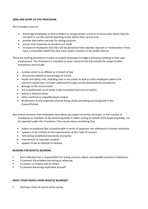# **AIMS AND SCOPE OF THIS PROCEDURE**

This Procedure aims to:

- encourage employees to feel confident in raising serious concerns in those cases where they do not wish to use the normal reporting routes within their service area
- provide alternative avenues for raising concerns
- ensure that responses to concerns are made
- to reassure employees that they will be protected from possible reprisals or victimisation if they have a reasonable belief that they have raised a concern in the public interest

There are existing procedures in place to enable employees to lodge a grievance relating to their own employment. This Procedure is intended to cover concerns that fall outside the scope of other procedures and include:

- conduct which is an offence or a breach of law
- disclosures related to miscarriages of justice
- health and safety risks, including risks to the public as well as other employees (where the concerns raised have not been addressed through normal departmental procedures)
- damage to the environment
- the unauthorised use of public funds including fraud and corruption
- sexual or physical abuse
- other unethical or unprofessional conduct
- Notification of any suspicions of price-fixing cartels providing services/goods to the Council/School.

Any serious concerns that employees have about any aspect of service provision, or the conduct of employees or members of the Governing Body or others acting on behalf of the Governing Body, can be reported under this Procedure. This may be about something that:

- makes an employee feel uncomfortable in terms of apparent non-adherence to known standards
- appears to be contrary to the requirements of the Code of Conduct
- falls below established standards of practice
- may amount to improper conduct
- appears to be an attempt to mislead

# **REASONS FOR WHISTLE BLOWING**

- **Each individual has a responsibility for raising concerns about unacceptable practice or behaviour.**
- **TO prevent the problem worsening or widening.**
- To protect or reduce risks to others.
- To prevent becoming implicated yourself.

# **WHAT STOPS PEOPLE FROM WHISTLE BLOWING?**

Starting a chain of events which spirals.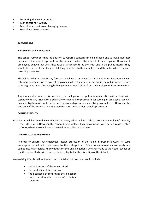- **Disrupting the work or project.**
- **Fear of getting it wrong.**
- Fear of repercussions or damaging careers.
- **Fear of not being believed.**

#### **SAFEGUARDS**

#### **Harassment or Victimisation**

The School recognises that the decision to report a concern can be a difficult one to make, not least because of the fear of reprisal from the person(s) who is the subject of the complaint. However, if employees believe that what they raise as a concern to be the truth and in the public interest they should be confident that they are fulfilling their duty to their employer and those for whom they are providing a service.

The School will not tolerate any form of sexual, racial or general harassment or victimisation and will take appropriate action to protect employees, when they raise a concern in the public interest, from suffering a detriment (including bullying or harassment) either from the employer or from co-workers.

Any investigation under this procedure, into allegations of potential malpractice will be dealt with separately to any grievance, disciplinary or redundancy procedure concerning an employee. Equally, any investigation will not be influenced by any such procedures involving an employee. However, the outcome of the investigation may lead to action under other school's procedures.

#### **CONFIDENTIALITY**

All concerns will be treated in confidence and every effort will be made to protect an employee's identity if that is their wish. However, this cannot be guaranteed if say following an investigation a case is taken to Court, where the employee may need to be called as a witness.

#### **ANONYMOUS ALLEGATIONS**

In order to ensure that employees receive protection of the Public Interest Disclosure Act 1998 employees should put their name to their allegation. Concerns expressed anonymously are sometimes less credible. Anonymous concerns and allegations, whether made to the Head Teacher or the Governing Body, will therefore be investigated at the discretion of the School.

In exercising this discretion, the factors to be taken into account would include:

- the seriousness of the issues raised
- the credibility of the concern
- the likelihood of confirming the allegation from attributable sources' factual evidence.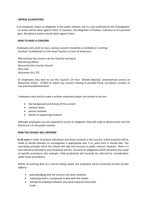#### **UNTRUE ALLEGATIONS**

 If an employee makes an allegation in the public interest, but it is not confirmed by the investigation, no action will be taken against them. If, however, the allegation is frivolous, malicious or for personal gain, disciplinary action may be taken against them.

#### **HOW TO RAISE A CONCERN**

 Employees who wish to raise a serious concern should do so verbally or in writing (marked 'Confidential') to the Head Teacher or Chair of Governors

Alternatively the concern can be raised by writing to Monitoring Officer Gloucestershire County Council Shire Hall Gloucester GL1 2TZ

Or employees may wish to use the Council's 24 hour "whistle blowing" answerphone service on Gloucester 01452 - 427052 to report any concern relating to possible fraud, corruption, conduct or mal-practice/administration

Employees who wish to make a written statement/report are invited to set out:

- the background and history of the concern
- relevant dates

.

- person involved
- details of supporting evidence

Although employees are not expected to prove an allegation they will need to demonstrate that the disclosure is in the public interest.

#### **HOW THE SCHOOL WILL RESPOND**

 **In all cases** in order to protect individuals and those involved in the concern, initial enquiries will be made to decide whether an investigation is appropriate and, if so, what form it should take. The overriding principle which the School will take into account is public interest; however, there is a zero tolerance attitude to any fraudulent activity. Concerns or allegations which fall within the scope of specific procedures (for example, child protection) will normally be referred for consideration under those procedures.

Within 10 working days of a concern being raised, the employee will be contacted at their private address:-

- acknowledging that the concern has been received
- indicating how it is proposed to deal with the matter
- telling the employee whether any initial enquiries have been made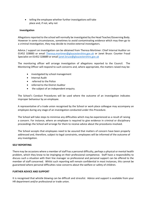telling the employee whether further investigations will take place and, if not, why not

# **Investigation**

Allegations reported to the school will normally be investigated by the Head Teacher/Governing Body. However in some circumstances, sometimes to avoid contaminating evidence which may then go to a criminal investigation, they may decide to involve external investigators.

Advice / support on investigation can be obtained from Theresa Mortimer: Chief Internal Auditor on 01452 328883 or email [Theresa.mortimer@gloucestershire.gov.uk](mailto:Theresa.mortimer@gloucestershire.gov.uk) or Janet Bruce: Counter Fraud Specialist on 01452 328889 or email [janet.bruce@gloucestershire.gov.uk](mailto:janet.bruce@gloucestershire.gov.uk)

The monitoring officer will arrange investigation of allegations reported to the Council. The Monitoring Officer will respond to such concerns and, where appropriate, the matters raised may be:

- investigated by school management
- Internal Audit
- referred to the Police
- referred to the District Auditor
- the subject of an independent enquiry.

The School's Conduct Procedures will be used where the outcome of an investigation indicates improper behaviour by an employee.

A representative of a trade union recognised by the School or work place colleague may accompany an employee during any stage of an investigation conducted under this Procedure.

The School will take steps to minimise any difficulties which may be experienced as a result of raising a concern. For instance, where an employee is required to give evidence in criminal or disciplinary proceedings the School will arrange for them to receive advice about the procedures involved.

The School accepts that employees need to be assured that matters of concern have been properly addressed and, therefore, subject to legal constraints, employees will be informed of the outcome of any investigation.

#### **SELF REPORTING**

There may be occasions where a member of staff has a personal difficulty, perhaps a physical or mental health problem, which they know to be impinging on their professional competence. Staff have a responsibility to discuss such a situation with their line manager so professional and personal support can be offered to the member of staff concerned. Whilst such reporting will remain confidential in most instances, this cannot be guaranteed where personal difficulties raise concerns about the welfare or safety of children.

#### **FURTHER ADVICE AND SUPPORT**

It is recognised that whistle blowing can be difficult and stressful. Advice and support is available from your HR department and/or professional or trade union.